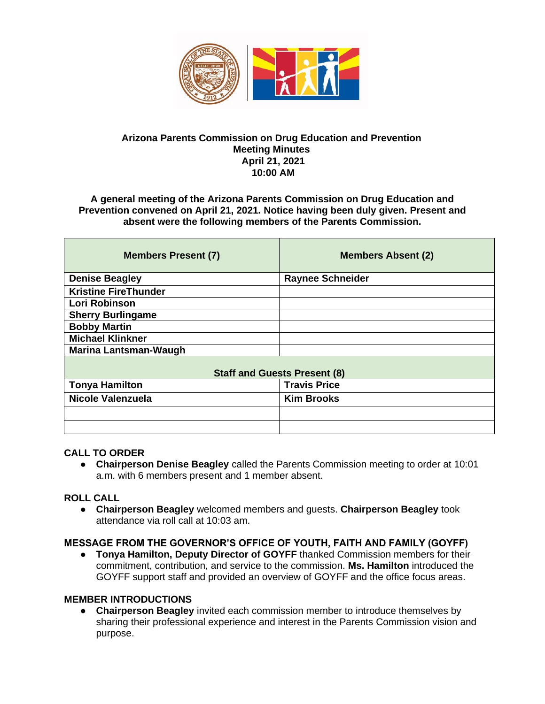

### **Arizona Parents Commission on Drug Education and Prevention Meeting Minutes April 21, 2021 10:00 AM**

#### **A general meeting of the Arizona Parents Commission on Drug Education and Prevention convened on April 21, 2021. Notice having been duly given. Present and absent were the following members of the Parents Commission.**

| <b>Members Present (7)</b>          | <b>Members Absent (2)</b> |
|-------------------------------------|---------------------------|
| <b>Denise Beagley</b>               | <b>Raynee Schneider</b>   |
| <b>Kristine FireThunder</b>         |                           |
| Lori Robinson                       |                           |
| <b>Sherry Burlingame</b>            |                           |
| <b>Bobby Martin</b>                 |                           |
| <b>Michael Klinkner</b>             |                           |
| <b>Marina Lantsman-Waugh</b>        |                           |
| <b>Staff and Guests Present (8)</b> |                           |
| <b>Tonya Hamilton</b>               | <b>Travis Price</b>       |
| Nicole Valenzuela                   | <b>Kim Brooks</b>         |
|                                     |                           |
|                                     |                           |

#### **CALL TO ORDER**

● **Chairperson Denise Beagley** called the Parents Commission meeting to order at 10:01 a.m. with 6 members present and 1 member absent.

#### **ROLL CALL**

● **Chairperson Beagley** welcomed members and guests. **Chairperson Beagley** took attendance via roll call at 10:03 am.

#### **MESSAGE FROM THE GOVERNOR'S OFFICE OF YOUTH, FAITH AND FAMILY (GOYFF)**

● **Tonya Hamilton, Deputy Director of GOYFF** thanked Commission members for their commitment, contribution, and service to the commission. **Ms. Hamilton** introduced the GOYFF support staff and provided an overview of GOYFF and the office focus areas.

#### **MEMBER INTRODUCTIONS**

● **Chairperson Beagley** invited each commission member to introduce themselves by sharing their professional experience and interest in the Parents Commission vision and purpose.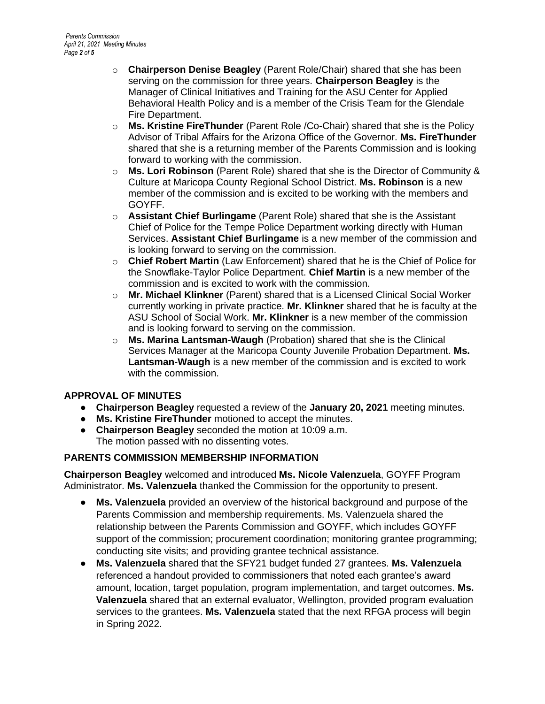- o **Chairperson Denise Beagley** (Parent Role/Chair) shared that she has been serving on the commission for three years. **Chairperson Beagley** is the Manager of Clinical Initiatives and Training for the ASU Center for Applied Behavioral Health Policy and is a member of the Crisis Team for the Glendale Fire Department.
- o **Ms. Kristine FireThunder** (Parent Role /Co-Chair) shared that she is the Policy Advisor of Tribal Affairs for the Arizona Office of the Governor. **Ms. FireThunder**  shared that she is a returning member of the Parents Commission and is looking forward to working with the commission.
- o **Ms. Lori Robinson** (Parent Role) shared that she is the Director of Community & Culture at Maricopa County Regional School District. **Ms. Robinson** is a new member of the commission and is excited to be working with the members and GOYFF.
- o **Assistant Chief Burlingame** (Parent Role) shared that she is the Assistant Chief of Police for the Tempe Police Department working directly with Human Services. **Assistant Chief Burlingame** is a new member of the commission and is looking forward to serving on the commission.
- o **Chief Robert Martin** (Law Enforcement) shared that he is the Chief of Police for the Snowflake-Taylor Police Department. **Chief Martin** is a new member of the commission and is excited to work with the commission.
- o **Mr. Michael Klinkner** (Parent) shared that is a Licensed Clinical Social Worker currently working in private practice. **Mr. Klinkner** shared that he is faculty at the ASU School of Social Work. **Mr. Klinkner** is a new member of the commission and is looking forward to serving on the commission.
- o **Ms. Marina Lantsman-Waugh** (Probation) shared that she is the Clinical Services Manager at the Maricopa County Juvenile Probation Department. **Ms. Lantsman-Waugh** is a new member of the commission and is excited to work with the commission.

## **APPROVAL OF MINUTES**

- **Chairperson Beagley** requested a review of the **January 20, 2021** meeting minutes.
- **Ms. Kristine FireThunder** motioned to accept the minutes.
- **Chairperson Beagley** seconded the motion at 10:09 a.m. The motion passed with no dissenting votes.

## **PARENTS COMMISSION MEMBERSHIP INFORMATION**

**Chairperson Beagley** welcomed and introduced **Ms. Nicole Valenzuela**, GOYFF Program Administrator. **Ms. Valenzuela** thanked the Commission for the opportunity to present.

- **Ms. Valenzuela** provided an overview of the historical background and purpose of the Parents Commission and membership requirements. Ms. Valenzuela shared the relationship between the Parents Commission and GOYFF, which includes GOYFF support of the commission; procurement coordination; monitoring grantee programming; conducting site visits; and providing grantee technical assistance.
- **Ms. Valenzuela** shared that the SFY21 budget funded 27 grantees. **Ms. Valenzuela**  referenced a handout provided to commissioners that noted each grantee's award amount, location, target population, program implementation, and target outcomes. **Ms. Valenzuela** shared that an external evaluator, Wellington, provided program evaluation services to the grantees. **Ms. Valenzuela** stated that the next RFGA process will begin in Spring 2022.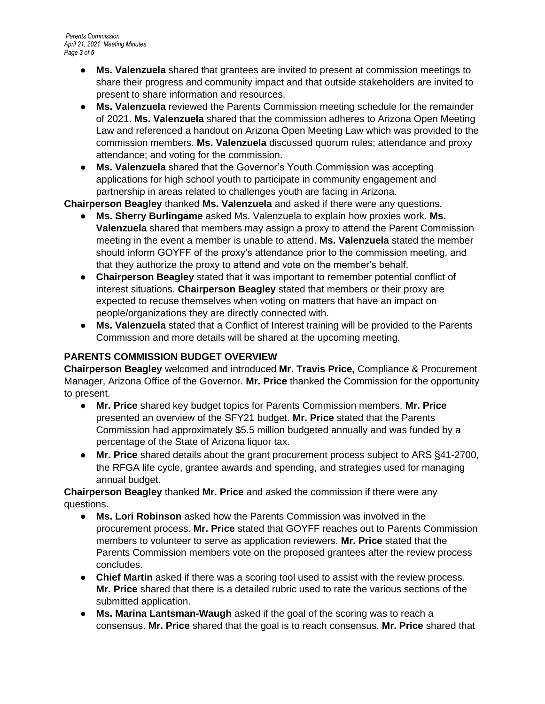- **Ms. Valenzuela** shared that grantees are invited to present at commission meetings to share their progress and community impact and that outside stakeholders are invited to present to share information and resources.
- **Ms. Valenzuela** reviewed the Parents Commission meeting schedule for the remainder of 2021. **Ms. Valenzuela** shared that the commission adheres to Arizona Open Meeting Law and referenced a handout on Arizona Open Meeting Law which was provided to the commission members. **Ms. Valenzuela** discussed quorum rules; attendance and proxy attendance; and voting for the commission.
- **Ms. Valenzuela** shared that the Governor's Youth Commission was accepting applications for high school youth to participate in community engagement and partnership in areas related to challenges youth are facing in Arizona.

**Chairperson Beagley** thanked **Ms. Valenzuela** and asked if there were any questions.

- **Ms. Sherry Burlingame** asked Ms. Valenzuela to explain how proxies work. **Ms. Valenzuela** shared that members may assign a proxy to attend the Parent Commission meeting in the event a member is unable to attend. **Ms. Valenzuela** stated the member should inform GOYFF of the proxy's attendance prior to the commission meeting, and that they authorize the proxy to attend and vote on the member's behalf.
- **Chairperson Beagley** stated that it was important to remember potential conflict of interest situations. **Chairperson Beagley** stated that members or their proxy are expected to recuse themselves when voting on matters that have an impact on people/organizations they are directly connected with.
- **Ms. Valenzuela** stated that a Conflict of Interest training will be provided to the Parents Commission and more details will be shared at the upcoming meeting.

# **PARENTS COMMISSION BUDGET OVERVIEW**

**Chairperson Beagley** welcomed and introduced **Mr. Travis Price,** Compliance & Procurement Manager, Arizona Office of the Governor. **Mr. Price** thanked the Commission for the opportunity to present.

- **Mr. Price** shared key budget topics for Parents Commission members. **Mr. Price** presented an overview of the SFY21 budget. **Mr. Price** stated that the Parents Commission had approximately \$5.5 million budgeted annually and was funded by a percentage of the State of Arizona liquor tax.
- **Mr. Price** shared details about the grant procurement process subject to ARS §41-2700, the RFGA life cycle, grantee awards and spending, and strategies used for managing annual budget.

**Chairperson Beagley** thanked **Mr. Price** and asked the commission if there were any questions.

- **Ms. Lori Robinson** asked how the Parents Commission was involved in the procurement process. **Mr. Price** stated that GOYFF reaches out to Parents Commission members to volunteer to serve as application reviewers. **Mr. Price** stated that the Parents Commission members vote on the proposed grantees after the review process concludes.
- **Chief Martin** asked if there was a scoring tool used to assist with the review process. **Mr. Price** shared that there is a detailed rubric used to rate the various sections of the submitted application.
- **Ms. Marina Lantsman-Waugh** asked if the goal of the scoring was to reach a consensus. **Mr. Price** shared that the goal is to reach consensus. **Mr. Price** shared that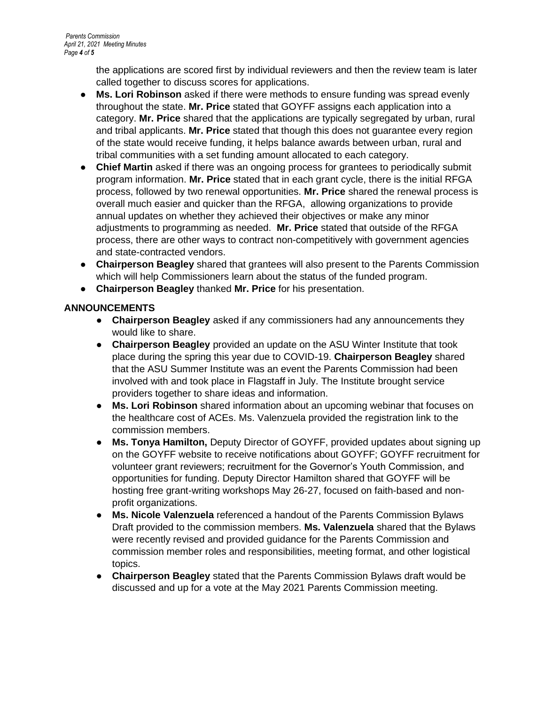the applications are scored first by individual reviewers and then the review team is later called together to discuss scores for applications.

- **Ms. Lori Robinson** asked if there were methods to ensure funding was spread evenly throughout the state. **Mr. Price** stated that GOYFF assigns each application into a category. **Mr. Price** shared that the applications are typically segregated by urban, rural and tribal applicants. **Mr. Price** stated that though this does not guarantee every region of the state would receive funding, it helps balance awards between urban, rural and tribal communities with a set funding amount allocated to each category.
- **Chief Martin** asked if there was an ongoing process for grantees to periodically submit program information. **Mr. Price** stated that in each grant cycle, there is the initial RFGA process, followed by two renewal opportunities. **Mr. Price** shared the renewal process is overall much easier and quicker than the RFGA, allowing organizations to provide annual updates on whether they achieved their objectives or make any minor adjustments to programming as needed. **Mr. Price** stated that outside of the RFGA process, there are other ways to contract non-competitively with government agencies and state-contracted vendors.
- **Chairperson Beagley** shared that grantees will also present to the Parents Commission which will help Commissioners learn about the status of the funded program.
- **Chairperson Beagley** thanked **Mr. Price** for his presentation.

## **ANNOUNCEMENTS**

- **Chairperson Beagley** asked if any commissioners had any announcements they would like to share.
- **Chairperson Beagley** provided an update on the ASU Winter Institute that took place during the spring this year due to COVID-19. **Chairperson Beagley** shared that the ASU Summer Institute was an event the Parents Commission had been involved with and took place in Flagstaff in July. The Institute brought service providers together to share ideas and information.
- **Ms. Lori Robinson** shared information about an upcoming webinar that focuses on the healthcare cost of ACEs. Ms. Valenzuela provided the registration link to the commission members.
- **Ms. Tonya Hamilton,** Deputy Director of GOYFF, provided updates about signing up on the GOYFF website to receive notifications about GOYFF; GOYFF recruitment for volunteer grant reviewers; recruitment for the Governor's Youth Commission, and opportunities for funding. Deputy Director Hamilton shared that GOYFF will be hosting free grant-writing workshops May 26-27, focused on faith-based and nonprofit organizations.
- **Ms. Nicole Valenzuela** referenced a handout of the Parents Commission Bylaws Draft provided to the commission members. **Ms. Valenzuela** shared that the Bylaws were recently revised and provided guidance for the Parents Commission and commission member roles and responsibilities, meeting format, and other logistical topics.
- **Chairperson Beagley** stated that the Parents Commission Bylaws draft would be discussed and up for a vote at the May 2021 Parents Commission meeting.